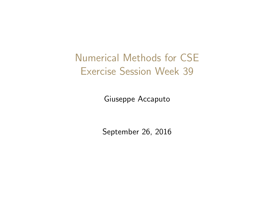<span id="page-0-0"></span>Numerical Methods for CSE Exercise Session Week 39

Giuseppe Accaputo

September 26, 2016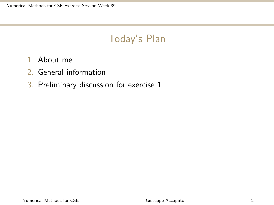# Today's Plan

- 1. About me
- 2. General information
- 3. Preliminary discussion for exercise 1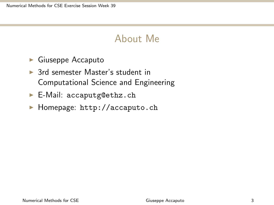#### About Me

- $\blacktriangleright$  Giuseppe Accaputo
- ▶ 3rd semester Master's student in Computational Science and Engineering
- ▶ E-Mail: <accaputg@ethz.ch>
- ▶ Homepage: <http://accaputo.ch>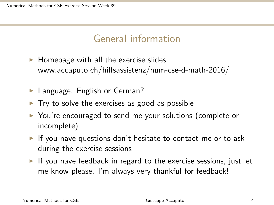### General information

- $\blacktriangleright$  Homepage with all the exercise slides: [www.accaputo.ch/hilfsassistenz/num-cse-d-math-2016/](http://accaputo.ch/hilfsassistenz/num-cse-d-math-2016/)
- ► Language: English or German?
- $\triangleright$  Try to solve the exercises as good as possible
- ▶ You're encouraged to send me your solutions (complete or incomplete)
- If you have questions don't hesitate to contact me or to ask during the exercise sessions
- If you have feedback in regard to the exercise sessions, just let me know please. I'm always very thankful for feedback!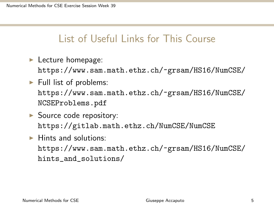### List of Useful Links for This Course

- $\blacktriangleright$  Lecture homepage: <https://www.sam.math.ethz.ch/~grsam/HS16/NumCSE/>
- $\blacktriangleright$  Full list of problems: [https://www.sam.math.ethz.ch/~grsam/HS16/NumCSE/](https://www.sam.math.ethz.ch/~grsam/HS16/NumCSE/NCSEProblems.pdf) [NCSEProblems.pdf](https://www.sam.math.ethz.ch/~grsam/HS16/NumCSE/NCSEProblems.pdf)
- $\blacktriangleright$  Source code repository: <https://gitlab.math.ethz.ch/NumCSE/NumCSE>
- $\blacktriangleright$  Hints and solutions: [https://www.sam.math.ethz.ch/~grsam/HS16/NumCSE/](https://www.sam.math.ethz.ch/~grsam/HS16/NumCSE/hints_and_solutions/) [hints\\_and\\_solutions/](https://www.sam.math.ethz.ch/~grsam/HS16/NumCSE/hints_and_solutions/)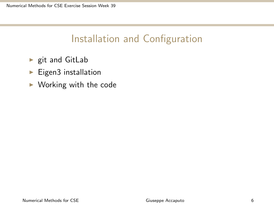# Installation and Configuration

- $\blacktriangleright$  git and GitLab
- $\blacktriangleright$  Eigen3 installation
- $\blacktriangleright$  Working with the code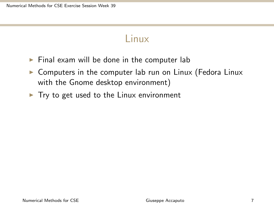#### **Linux**

- $\blacktriangleright$  Final exam will be done in the computer lab
- $\triangleright$  Computers in the computer lab run on Linux (Fedora Linux with the Gnome desktop environment)
- $\blacktriangleright$  Try to get used to the Linux environment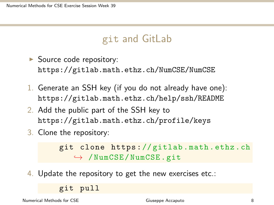### git and GitLab

- $\triangleright$  Source code repository: <https://gitlab.math.ethz.ch/NumCSE/NumCSE>
- 1. Generate an SSH key (if you do not already have one): <https://gitlab.math.ethz.ch/help/ssh/README>
- 2. Add the public part of the SSH key to <https://gitlab.math.ethz.ch/profile/keys>
- 3. Clone the repository:

git clone https :// gitlab . math . ethz .ch ,→ / NumCSE / NumCSE .git

4. Update the repository to get the new exercises etc.:

git pull

Numerical Methods for CSE Giuseppe Accaputo 8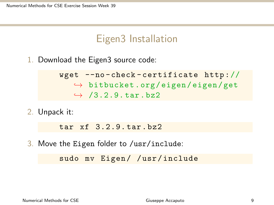#### Eigen3 Installation

1. Download the Eigen3 source code:

```
wget --no - check - certificate http ://
   \leftrightarrow bitbucket.org/eigen/eigen/get
   \leftrightarrow /3.2.9. tar. bz2
```
2. Unpack it:

tar xf 3.2.9. tar . bz2

3. Move the Eigen folder to /usr/include:

sudo mv Eigen/ /usr/include

Numerical Methods for CSE Giuseppe Accaputo 9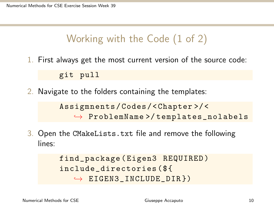# Working with the Code (1 of 2)

1. First always get the most current version of the source code:

git pull

2. Navigate to the folders containing the templates:

Assigmnents / Codes / < Chapter >/ <  $\rightarrow$  ProblemName >/templates\_nolabels

3. Open the CMakeLists.txt file and remove the following lines:

```
find_package ( Eigen3 REQUIRED )
include_directories ( $ {
   \leftrightarrow EIGEN3_INCLUDE_DIR})
```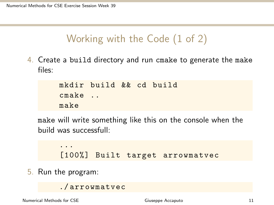# Working with the Code (1 of 2)

4. Create a build directory and run cmake to generate the make files:

|       | mkdir build && cd build |  |  |
|-------|-------------------------|--|--|
| cmake |                         |  |  |
| make  |                         |  |  |

make will write something like this on the console when the build was successfull:

```
...
[100%] Built target arrowmatvec
```
5. Run the program:

./ arrowmatvec

Numerical Methods for CSE Giuseppe Accaputo 11